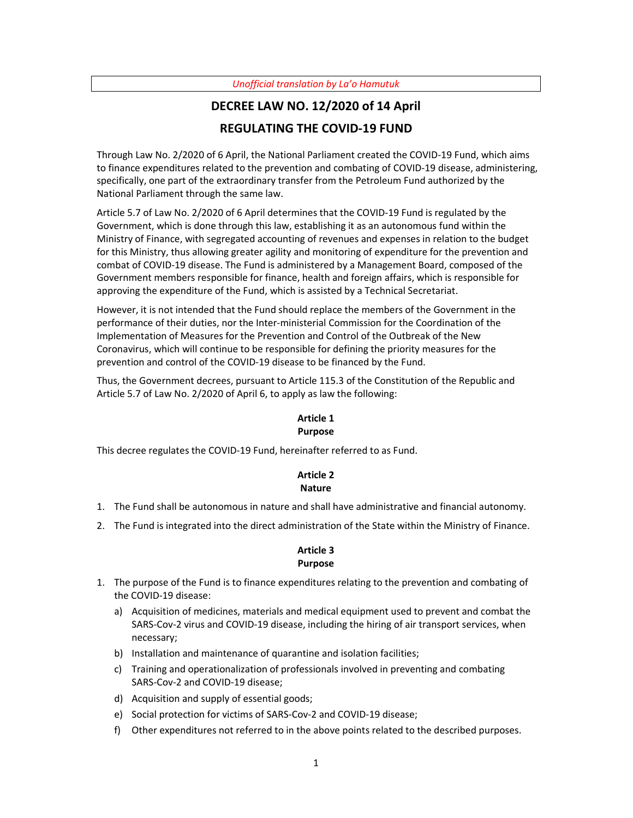#### *Unofficial translation by La'o Hamutuk*

# **DECREE LAW NO. 12/2020 of 14 April REGULATING THE COVID-19 FUND**

Through Law No. 2/2020 of 6 April, the National Parliament created the COVID-19 Fund, which aims to finance expenditures related to the prevention and combating of COVID-19 disease, administering, specifically, one part of the extraordinary transfer from the Petroleum Fund authorized by the National Parliament through the same law.

Article 5.7 of Law No. 2/2020 of 6 April determines that the COVID-19 Fund is regulated by the Government, which is done through this law, establishing it as an autonomous fund within the Ministry of Finance, with segregated accounting of revenues and expenses in relation to the budget for this Ministry, thus allowing greater agility and monitoring of expenditure for the prevention and combat of COVID-19 disease. The Fund is administered by a Management Board, composed of the Government members responsible for finance, health and foreign affairs, which is responsible for approving the expenditure of the Fund, which is assisted by a Technical Secretariat.

However, it is not intended that the Fund should replace the members of the Government in the performance of their duties, nor the Inter-ministerial Commission for the Coordination of the Implementation of Measures for the Prevention and Control of the Outbreak of the New Coronavirus, which will continue to be responsible for defining the priority measures for the prevention and control of the COVID-19 disease to be financed by the Fund.

Thus, the Government decrees, pursuant to Article 115.3 of the Constitution of the Republic and Article 5.7 of Law No. 2/2020 of April 6, to apply as law the following:

#### **Article 1 Purpose**

This decree regulates the COVID-19 Fund, hereinafter referred to as Fund.

#### **Article 2 Nature**

- 1. The Fund shall be autonomous in nature and shall have administrative and financial autonomy.
- 2. The Fund is integrated into the direct administration of the State within the Ministry of Finance.

#### **Article 3 Purpose**

- 1. The purpose of the Fund is to finance expenditures relating to the prevention and combating of the COVID-19 disease:
	- a) Acquisition of medicines, materials and medical equipment used to prevent and combat the SARS-Cov-2 virus and COVID-19 disease, including the hiring of air transport services, when necessary;
	- b) Installation and maintenance of quarantine and isolation facilities;
	- c) Training and operationalization of professionals involved in preventing and combating SARS-Cov-2 and COVID-19 disease;
	- d) Acquisition and supply of essential goods;
	- e) Social protection for victims of SARS-Cov-2 and COVID-19 disease;
	- f) Other expenditures not referred to in the above points related to the described purposes.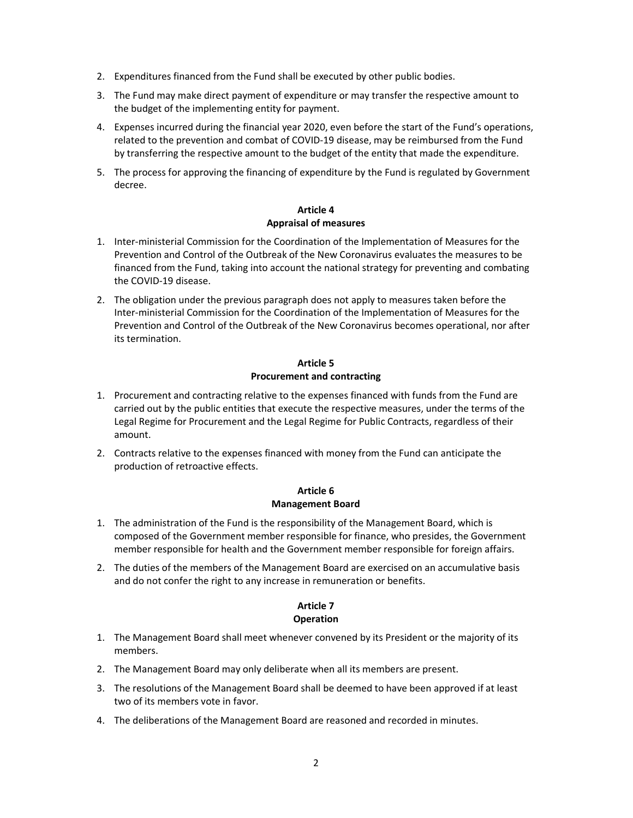- 2. Expenditures financed from the Fund shall be executed by other public bodies.
- 3. The Fund may make direct payment of expenditure or may transfer the respective amount to the budget of the implementing entity for payment.
- 4. Expenses incurred during the financial year 2020, even before the start of the Fund's operations, related to the prevention and combat of COVID-19 disease, may be reimbursed from the Fund by transferring the respective amount to the budget of the entity that made the expenditure.
- 5. The process for approving the financing of expenditure by the Fund is regulated by Government decree.

#### **Article 4 Appraisal of measures**

- 1. Inter-ministerial Commission for the Coordination of the Implementation of Measures for the Prevention and Control of the Outbreak of the New Coronavirus evaluates the measures to be financed from the Fund, taking into account the national strategy for preventing and combating the COVID-19 disease.
- 2. The obligation under the previous paragraph does not apply to measures taken before the Inter-ministerial Commission for the Coordination of the Implementation of Measures for the Prevention and Control of the Outbreak of the New Coronavirus becomes operational, nor after its termination.

## **Article 5 Procurement and contracting**

- 1. Procurement and contracting relative to the expenses financed with funds from the Fund are carried out by the public entities that execute the respective measures, under the terms of the Legal Regime for Procurement and the Legal Regime for Public Contracts, regardless of their amount.
- 2. Contracts relative to the expenses financed with money from the Fund can anticipate the production of retroactive effects.

## **Article 6 Management Board**

- 1. The administration of the Fund is the responsibility of the Management Board, which is composed of the Government member responsible for finance, who presides, the Government member responsible for health and the Government member responsible for foreign affairs.
- 2. The duties of the members of the Management Board are exercised on an accumulative basis and do not confer the right to any increase in remuneration or benefits.

## **Article 7**

## **Operation**

- 1. The Management Board shall meet whenever convened by its President or the majority of its members.
- 2. The Management Board may only deliberate when all its members are present.
- 3. The resolutions of the Management Board shall be deemed to have been approved if at least two of its members vote in favor.
- 4. The deliberations of the Management Board are reasoned and recorded in minutes.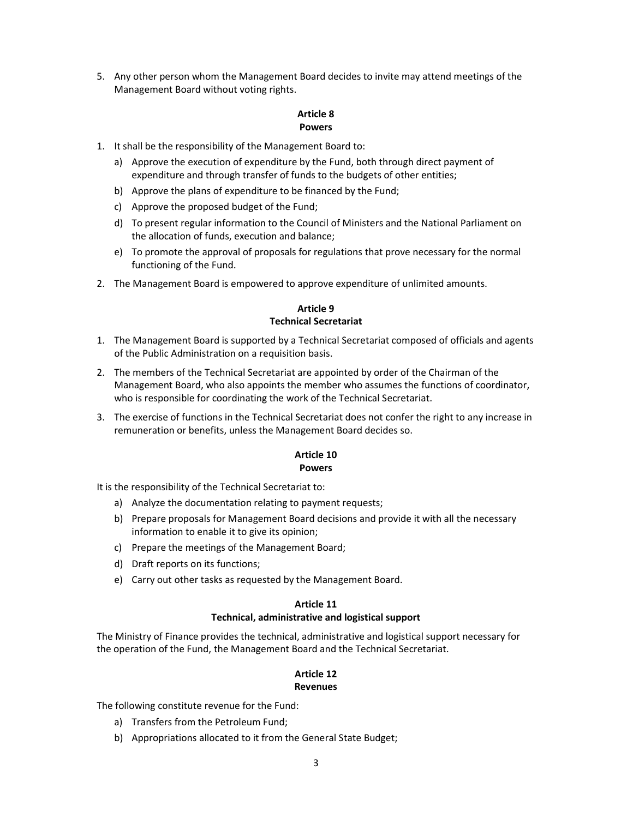5. Any other person whom the Management Board decides to invite may attend meetings of the Management Board without voting rights.

#### **Article 8 Powers**

- 1. It shall be the responsibility of the Management Board to:
	- a) Approve the execution of expenditure by the Fund, both through direct payment of expenditure and through transfer of funds to the budgets of other entities;
	- b) Approve the plans of expenditure to be financed by the Fund;
	- c) Approve the proposed budget of the Fund;
	- d) To present regular information to the Council of Ministers and the National Parliament on the allocation of funds, execution and balance;
	- e) To promote the approval of proposals for regulations that prove necessary for the normal functioning of the Fund.
- 2. The Management Board is empowered to approve expenditure of unlimited amounts.

## **Article 9 Technical Secretariat**

- 1. The Management Board is supported by a Technical Secretariat composed of officials and agents of the Public Administration on a requisition basis.
- 2. The members of the Technical Secretariat are appointed by order of the Chairman of the Management Board, who also appoints the member who assumes the functions of coordinator, who is responsible for coordinating the work of the Technical Secretariat.
- 3. The exercise of functions in the Technical Secretariat does not confer the right to any increase in remuneration or benefits, unless the Management Board decides so.

## **Article 10 Powers**

It is the responsibility of the Technical Secretariat to:

- a) Analyze the documentation relating to payment requests;
- b) Prepare proposals for Management Board decisions and provide it with all the necessary information to enable it to give its opinion;
- c) Prepare the meetings of the Management Board;
- d) Draft reports on its functions;
- e) Carry out other tasks as requested by the Management Board.

#### **Article 11**

#### **Technical, administrative and logistical support**

The Ministry of Finance provides the technical, administrative and logistical support necessary for the operation of the Fund, the Management Board and the Technical Secretariat.

#### **Article 12 Revenues**

The following constitute revenue for the Fund:

- a) Transfers from the Petroleum Fund;
- b) Appropriations allocated to it from the General State Budget;